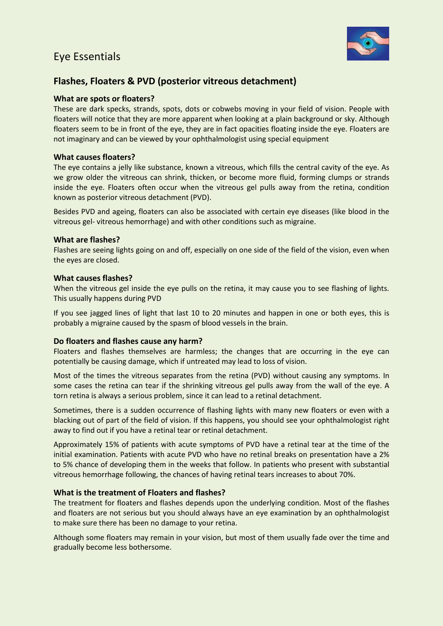## Eye Essentials



### **Flashes, Floaters & PVD (posterior vitreous detachment)**

#### **What are spots or floaters?**

These are dark specks, strands, spots, dots or cobwebs moving in your field of vision. People with floaters will notice that they are more apparent when looking at a plain background or sky. Although floaters seem to be in front of the eye, they are in fact opacities floating inside the eye. Floaters are not imaginary and can be viewed by your ophthalmologist using special equipment

#### **What causes floaters?**

The eye contains a jelly like substance, known a vitreous, which fills the central cavity of the eye. As we grow older the vitreous can shrink, thicken, or become more fluid, forming clumps or strands inside the eye. Floaters often occur when the vitreous gel pulls away from the retina, condition known as posterior vitreous detachment (PVD).

Besides PVD and ageing, floaters can also be associated with certain eye diseases (like blood in the vitreous gel- vitreous hemorrhage) and with other conditions such as migraine.

#### **What are flashes?**

Flashes are seeing lights going on and off, especially on one side of the field of the vision, even when the eyes are closed.

#### **What causes flashes?**

When the vitreous gel inside the eye pulls on the retina, it may cause you to see flashing of lights. This usually happens during PVD

If you see jagged lines of light that last 10 to 20 minutes and happen in one or both eyes, this is probably a migraine caused by the spasm of blood vessels in the brain.

#### **Do floaters and flashes cause any harm?**

Floaters and flashes themselves are harmless; the changes that are occurring in the eye can potentially be causing damage, which if untreated may lead to loss of vision.

Most of the times the vitreous separates from the retina (PVD) without causing any symptoms. In some cases the retina can tear if the shrinking vitreous gel pulls away from the wall of the eye. A torn retina is always a serious problem, since it can lead to a retinal detachment.

Sometimes, there is a sudden occurrence of flashing lights with many new floaters or even with a blacking out of part of the field of vision. If this happens, you should see your ophthalmologist right away to find out if you have a retinal tear or retinal detachment.

Approximately 15% of patients with acute symptoms of PVD have a retinal tear at the time of the initial examination. Patients with acute PVD who have no retinal breaks on presentation have a 2% to 5% chance of developing them in the weeks that follow. In patients who present with substantial vitreous hemorrhage following, the chances of having retinal tears increases to about 70%.

#### **What is the treatment of Floaters and flashes?**

The treatment for floaters and flashes depends upon the underlying condition. Most of the flashes and floaters are not serious but you should always have an eye examination by an ophthalmologist to make sure there has been no damage to your retina.

Although some floaters may remain in your vision, but most of them usually fade over the time and gradually become less bothersome.